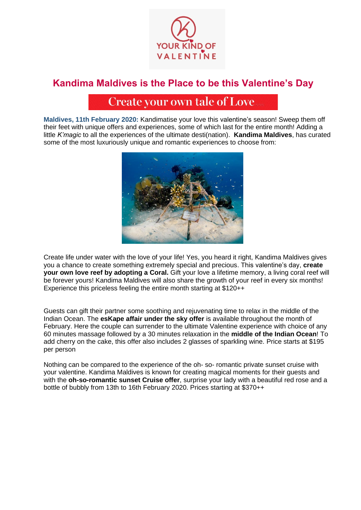

## **Kandima Maldives is the Place to be this Valentine's Day**

# **Create your own tale of Love**

**Maldives, 11th February 2020:** Kandimatise your love this valentine's season! Sweep them off their feet with unique offers and experiences, some of which last for the entire month! Adding a little *K'magic* to all the experiences of the ultimate desti(nation). **Kandima Maldives**, has curated some of the most luxuriously unique and romantic experiences to choose from:



Create life under water with the love of your life! Yes, you heard it right, Kandima Maldives gives you a chance to create something extremely special and precious. This valentine's day, **create your own love reef by adopting a Coral.** Gift your love a lifetime memory, a living coral reef will be forever yours! Kandima Maldives will also share the growth of your reef in every six months! Experience this priceless feeling the entire month starting at \$120++

Guests can gift their partner some soothing and rejuvenating time to relax in the middle of the Indian Ocean. The **esKape affair under the sky offer** is available throughout the month of February. Here the couple can surrender to the ultimate Valentine experience with choice of any 60 minutes massage followed by a 30 minutes relaxation in the **middle of the Indian Ocean**! To add cherry on the cake, this offer also includes 2 glasses of sparkling wine. Price starts at \$195 per person

Nothing can be compared to the experience of the oh- so- romantic private sunset cruise with your valentine. Kandima Maldives is known for creating magical moments for their guests and with the **oh-so-romantic sunset Cruise offer**, surprise your lady with a beautiful red rose and a bottle of bubbly from 13th to 16th February 2020. Prices starting at \$370++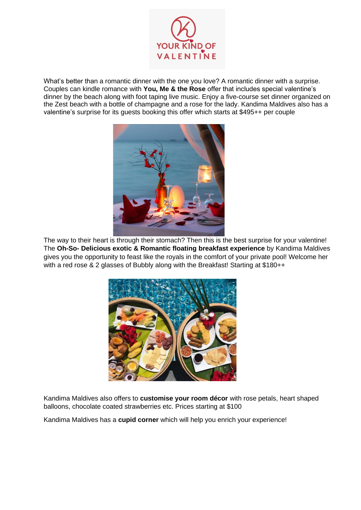

What's better than a romantic dinner with the one you love? A romantic dinner with a surprise. Couples can kindle romance with **You, Me & the Rose** offer that includes special valentine's dinner by the beach along with foot taping live music. Enjoy a five-course set dinner organized on the Zest beach with a bottle of champagne and a rose for the lady. Kandima Maldives also has a valentine's surprise for its guests booking this offer which starts at \$495++ per couple



The way to their heart is through their stomach? Then this is the best surprise for your valentine! The **Oh-So- Delicious exotic & Romantic floating breakfast experience** by Kandima Maldives gives you the opportunity to feast like the royals in the comfort of your private pool! Welcome her with a red rose & 2 glasses of Bubbly along with the Breakfast! Starting at \$180++



Kandima Maldives also offers to **customise your room décor** with rose petals, heart shaped balloons, chocolate coated strawberries etc. Prices starting at \$100

Kandima Maldives has a **cupid corner** which will help you enrich your experience!